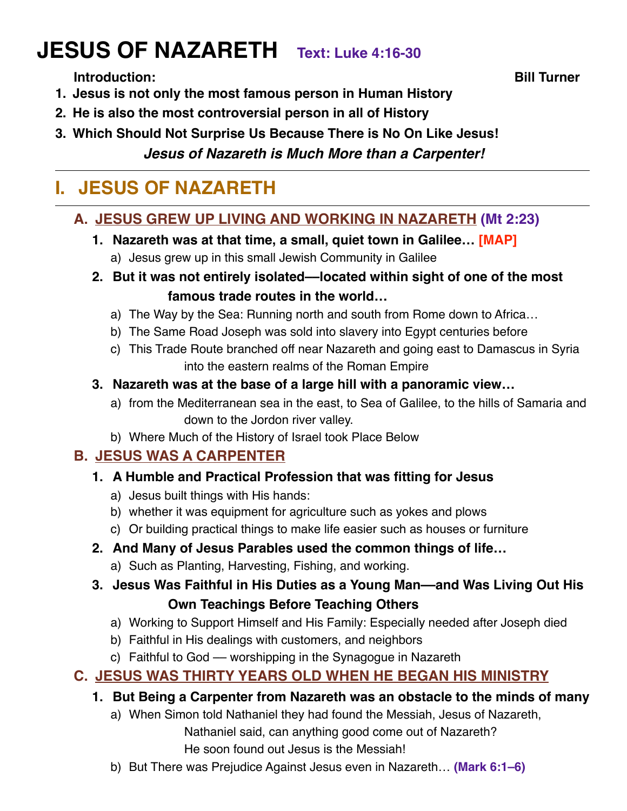# **JESUS OF NAZARETH Text: Luke 4:16-30**

**Introduction: Bill Turner**

- **1. Jesus is not only the most famous person in Human History**
- **2. He is also the most controversial person in all of History**
- **3. Which Should Not Surprise Us Because There is No On Like Jesus!**

#### *Jesus of Nazareth is Much More than a Carpenter!*

# **I. JESUS OF NAZARETH**

#### **A. JESUS GREW UP LIVING AND WORKING IN NAZARETH (Mt 2:23)**

- **1. Nazareth was at that time, a small, quiet town in Galilee… [MAP]**
	- a) Jesus grew up in this small Jewish Community in Galilee
- **2. But it was not entirely isolated––located within sight of one of the most famous trade routes in the world…**
	- a) The Way by the Sea: Running north and south from Rome down to Africa…
	- b) The Same Road Joseph was sold into slavery into Egypt centuries before
	- c) This Trade Route branched off near Nazareth and going east to Damascus in Syria into the eastern realms of the Roman Empire
- **3. Nazareth was at the base of a large hill with a panoramic view…**
	- a) from the Mediterranean sea in the east, to Sea of Galilee, to the hills of Samaria and down to the Jordon river valley.
	- b) Where Much of the History of Israel took Place Below

#### **B. JESUS WAS A CARPENTER**

- **1. A Humble and Practical Profession that was fitting for Jesus**
	- a) Jesus built things with His hands:
	- b) whether it was equipment for agriculture such as yokes and plows
	- c) Or building practical things to make life easier such as houses or furniture

#### **2. And Many of Jesus Parables used the common things of life…**

- a) Such as Planting, Harvesting, Fishing, and working.
- **3. Jesus Was Faithful in His Duties as a Young Man––and Was Living Out His Own Teachings Before Teaching Others**
	- a) Working to Support Himself and His Family: Especially needed after Joseph died
	- b) Faithful in His dealings with customers, and neighbors
	- c) Faithful to God –– worshipping in the Synagogue in Nazareth

#### **C. JESUS WAS THIRTY YEARS OLD WHEN HE BEGAN HIS MINISTRY**

- **1. But Being a Carpenter from Nazareth was an obstacle to the minds of many**
	- a) When Simon told Nathaniel they had found the Messiah, Jesus of Nazareth, Nathaniel said, can anything good come out of Nazareth? He soon found out Jesus is the Messiah!
	- b) But There was Prejudice Against Jesus even in Nazareth… **(Mark 6:1–6)**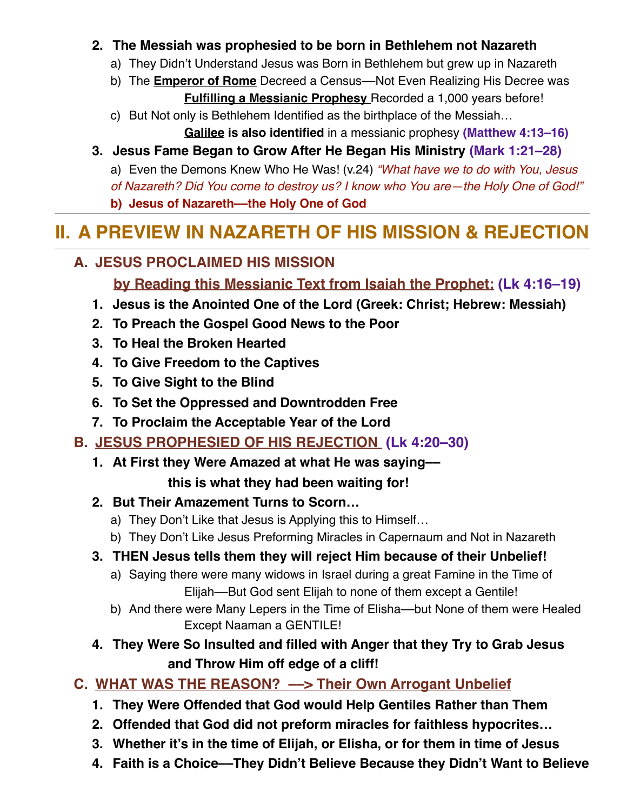#### **2. The Messiah was prophesied to be born in Bethlehem not Nazareth**

- a) They Didn't Understand Jesus was Born in Bethlehem but grew up in Nazareth
- b) The **Emperor of Rome** Decreed a Census––Not Even Realizing His Decree was **Fulfilling a Messianic Prophesy** Recorded a 1,000 years before!
- c) But Not only is Bethlehem Identified as the birthplace of the Messiah…

**Galilee is also identified** in a messianic prophesy **(Matthew 4:13–16)**

#### **3. Jesus Fame Began to Grow After He Began His Ministry (Mark 1:21–28)**

a) Even the Demons Knew Who He Was! (v.24) *"What have we to do with You, Jesus* 

*of Nazareth? Did You come to destroy us? I know who You are—the Holy One of God!"*

**b) Jesus of Nazareth––the Holy One of God** 

# **II. A PREVIEW IN NAZARETH OF HIS MISSION & REJECTION**

#### **A. JESUS PROCLAIMED HIS MISSION**

**by Reading this Messianic Text from Isaiah the Prophet: (Lk 4:16–19)**

- **1. Jesus is the Anointed One of the Lord (Greek: Christ; Hebrew: Messiah)**
- **2. To Preach the Gospel Good News to the Poor**
- **3. To Heal the Broken Hearted**
- **4. To Give Freedom to the Captives**
- **5. To Give Sight to the Blind**
- **6. To Set the Oppressed and Downtrodden Free**
- **7. To Proclaim the Acceptable Year of the Lord**

### **B. JESUS PROPHESIED OF HIS REJECTION (Lk 4:20–30)**

**1. At First they Were Amazed at what He was saying––**

#### **this is what they had been waiting for!**

#### **2. But Their Amazement Turns to Scorn…**

- a) They Don't Like that Jesus is Applying this to Himself…
- b) They Don't Like Jesus Preforming Miracles in Capernaum and Not in Nazareth
- **3. THEN Jesus tells them they will reject Him because of their Unbelief!**
	- a) Saying there were many widows in Israel during a great Famine in the Time of Elijah––But God sent Elijah to none of them except a Gentile!
	- b) And there were Many Lepers in the Time of Elisha––but None of them were Healed Except Naaman a GENTILE!
- **4. They Were So Insulted and filled with Anger that they Try to Grab Jesus and Throw Him off edge of a cliff!**

### **C. WHAT WAS THE REASON? ––> Their Own Arrogant Unbelief**

- **1. They Were Offended that God would Help Gentiles Rather than Them**
- **2. Offended that God did not preform miracles for faithless hypocrites…**
- **3. Whether it's in the time of Elijah, or Elisha, or for them in time of Jesus**
- **4. Faith is a Choice––They Didn't Believe Because they Didn't Want to Believe**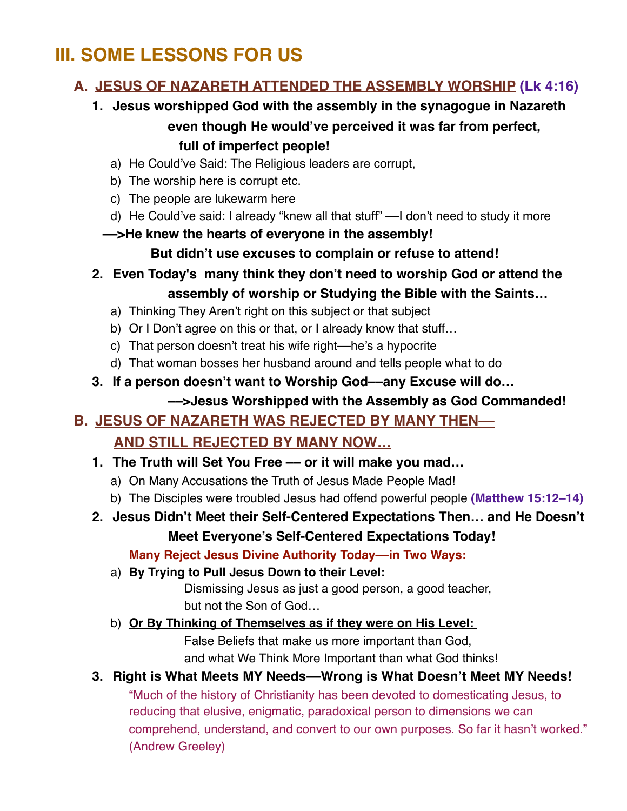# **III. SOME LESSONS FOR US**

#### **A. JESUS OF NAZARETH ATTENDED THE ASSEMBLY WORSHIP (Lk 4:16)**

- **1. Jesus worshipped God with the assembly in the synagogue in Nazareth even though He would've perceived it was far from perfect, full of imperfect people!**
	- a) He Could've Said: The Religious leaders are corrupt,
	- b) The worship here is corrupt etc.
	- c) The people are lukewarm here
	- d) He Could've said: I already "knew all that stuff" ––I don't need to study it more
	- **––>He knew the hearts of everyone in the assembly!**

**But didn't use excuses to complain or refuse to attend!**

- **2. Even Today's many think they don't need to worship God or attend the assembly of worship or Studying the Bible with the Saints…**
	- a) Thinking They Aren't right on this subject or that subject
	- b) Or I Don't agree on this or that, or I already know that stuff…
	- c) That person doesn't treat his wife right––he's a hypocrite
	- d) That woman bosses her husband around and tells people what to do
- **3. If a person doesn't want to Worship God––any Excuse will do… ––>Jesus Worshipped with the Assembly as God Commanded!**

### **B. JESUS OF NAZARETH WAS REJECTED BY MANY THEN–– AND STILL REJECTED BY MANY NOW…**

- **1. The Truth will Set You Free –– or it will make you mad…** 
	- a) On Many Accusations the Truth of Jesus Made People Mad!
	- b) The Disciples were troubled Jesus had offend powerful people **(Matthew 15:12–14)**
- **2. Jesus Didn't Meet their Self-Centered Expectations Then… and He Doesn't Meet Everyone's Self-Centered Expectations Today!**

**Many Reject Jesus Divine Authority Today––in Two Ways:** 

a) **By Trying to Pull Jesus Down to their Level:** 

Dismissing Jesus as just a good person, a good teacher, but not the Son of God…

b) **Or By Thinking of Themselves as if they were on His Level:** 

False Beliefs that make us more important than God, and what We Think More Important than what God thinks!

#### **3. Right is What Meets MY Needs––Wrong is What Doesn't Meet MY Needs!**

"Much of the history of Christianity has been devoted to domesticating Jesus, to reducing that elusive, enigmatic, paradoxical person to dimensions we can comprehend, understand, and convert to our own purposes. So far it hasn't worked." (Andrew Greeley)